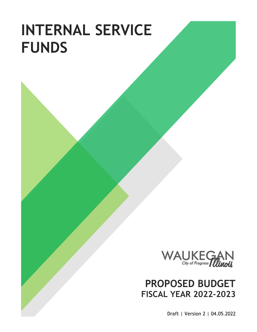# **INTERNAL SERVICE FUNDS**



# **PROPOSED BUDGET FISCAL YEAR 2022-2023**

Draft | Version 2 | 04.05.2022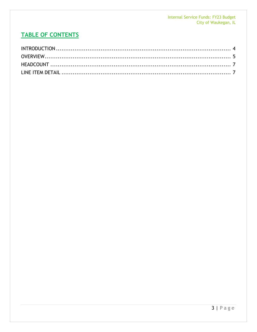# **TABLE OF CONTENTS**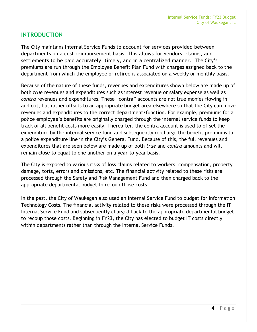# <span id="page-3-0"></span>**INTRODUCTION**

The City maintains Internal Service Funds to account for services provided between departments on a cost reimbursement basis. This allows for vendors, claims, and settlements to be paid accurately, timely, and in a centralized manner. The City's premiums are run through the Employee Benefit Plan Fund with charges assigned back to the department from which the employee or retiree is associated on a weekly or monthly basis.

Because of the nature of these funds, revenues and expenditures shown below are made up of both *true* revenues and expenditures such as interest revenue or salary expense as well as *contra* revenues and expenditures. These "contra" accounts are not true monies flowing in and out, but rather offsets to an appropriate budget area elsewhere so that the City can move revenues and expenditures to the correct department/function. For example, premiums for a police employee's benefits are originally charged through the internal service funds to keep track of all benefit costs more easily. Thereafter, the contra account is used to offset the expenditure by the internal service fund and subsequently re-charge the benefit premiums to a police expenditure line in the City's General Fund. Because of this, the full revenues and expenditures that are seen below are made up of both *true* and *contra* amounts and will remain close to equal to one another on a year-to-year basis.

The City is exposed to various risks of loss claims related to workers' compensation, property damage, torts, errors and omissions, etc. The financial activity related to these risks are processed through the Safety and Risk Management Fund and then charged back to the appropriate departmental budget to recoup those costs.

In the past, the City of Waukegan also used an Internal Service Fund to budget for Information Technology Costs. The financial activity related to these risks were processed through the IT Internal Service Fund and subsequently charged back to the appropriate departmental budget to recoup those costs. Beginning in FY23, the City has elected to budget IT costs directly within departments rather than through the Internal Service Funds.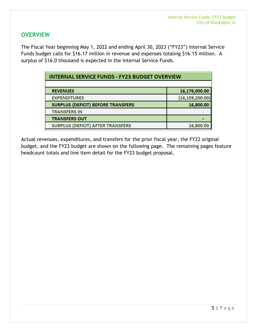# <span id="page-4-0"></span>**OVERVIEW**

The Fiscal Year beginning May 1, 2022 and ending April 30, 2023 ("FY23") Internal Service Funds budget calls for \$16.17 million in revenue and expenses totaling \$16.15 million. A surplus of \$16.0 thousand is expected in the Internal Service Funds.

| <b>INTERNAL SERVICE FUNDS - FY23 BUDGET OVERVIEW</b> |                   |  |  |  |  |
|------------------------------------------------------|-------------------|--|--|--|--|
|                                                      |                   |  |  |  |  |
| <b>REVENUES</b>                                      | 16,176,000.00     |  |  |  |  |
| <b>EXPENDITURES</b>                                  | (16, 159, 200.00) |  |  |  |  |
| <b>SURPLUS (DEFICIT) BEFORE TRANSFERS</b>            | 16,800.00         |  |  |  |  |
| <b>TRANSFERS IN</b>                                  |                   |  |  |  |  |
| <b>TRANSFERS OUT</b>                                 |                   |  |  |  |  |
| <b>SURPLUS (DEFICIT) AFTER TRANSFERS</b>             | 16,800.00         |  |  |  |  |

Actual revenues, expenditures, and transfers for the prior fiscal year, the FY22 original budget, and the FY23 budget are shown on the following page. The remaining pages feature headcount totals and line item detail for the FY23 budget proposal.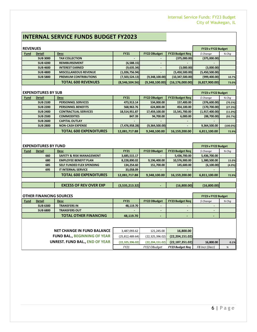# **INTERNAL SERVICE FUNDS BUDGET FY2023**

| <b>REVENUES</b> |                 | FY23 v FY22 Budget           |                |                     |                        |                |         |
|-----------------|-----------------|------------------------------|----------------|---------------------|------------------------|----------------|---------|
| <b>Fund</b>     | <b>Detail</b>   | <b>Desc</b>                  | <b>FY21</b>    | <b>FY22 OBudget</b> | <b>FY23 Budget Req</b> | $$$ Change     | $%$ Chq |
|                 | <b>SUB 3000</b> | <b>TAX COLLECTION</b>        |                | $\blacksquare$      | (375,000.00)           | (375,000.00)   |         |
|                 | <b>SUB4200</b>  | <b>REIMBURSEMENT</b>         | (6,588.15)     | -                   |                        |                |         |
|                 | <b>SUB 4600</b> | <b>INTEREST EARNED</b>       | (9,635.34)     |                     | (3,000.00)             | (3,000.00)     |         |
|                 | <b>SUB 4800</b> | <b>MISCELLANEOUS REVENUE</b> | (1,026,756.94) | -                   | (5,450,500.00)         | (5,450,500.00) |         |
|                 | <b>SUB 5800</b> | <b>PREMIUM CONTRIBUTIONS</b> | (7,503,524.13) | (9,348,100.00)      | (10, 347, 500.00)      | (999, 400.00)  | 10.7%   |
|                 |                 | <b>TOTAL 600 REVENUES</b>    | (8,546,504.56) | (9,348,100.00)      | (16, 176, 000.00)      | (6,827,900.00) | 73.0%   |

| <b>EXPENDITURES BY SUB</b> |                 |                               |                  |                     |                        |                | FY23 v FY22 Budget |
|----------------------------|-----------------|-------------------------------|------------------|---------------------|------------------------|----------------|--------------------|
| <b>Fund</b>                | Detail          | <b>Desc</b>                   | <b>FY21</b>      | <b>FY22 OBudget</b> | <b>FY23 Budget Reg</b> | \$ Change      | $%$ Chq            |
|                            | <b>SUB 2100</b> | <b>PERSONNEL SERVICES</b>     | 473,913.14       | 534,000.00          | 157,400.00             | (376,600.00)   | (70.5%)            |
|                            | <b>SUB 2200</b> | <b>PERSONNEL BENEFITS</b>     | 568,963.76       | 624,800.00          | 454,100.00             | (170, 700.00)  | (27.3%)            |
|                            | <b>SUB 2400</b> | <b>CONTRACTUAL SERVICES</b>   | 18,514,951.87    | 17,459,100.00       | 15,541,700.00          | (1,917,400.00) | (11.0%)            |
|                            | <b>SUB 2500</b> | <b>COMMODITIES</b>            | 847.39           | 94,700.00           | 6,000.00               | (88,700.00)    | (93.7%)            |
|                            | <b>SUB 2600</b> | <b>CAPITAL OUTLAY</b>         |                  |                     |                        |                |                    |
|                            | <b>SUB 2800</b> | <b>NON-CASH EXPENSE</b>       | (7, 476, 958.28) | (9,364,500.00)      |                        | 9,364,500.00   | $(100.0\%)$        |
|                            |                 | <b>TOTAL 600 EXPENDITURES</b> | 12,081,717.88    | 9,348,100.00        | 16,159,200.00          | 6,811,100.00   | 72.9%              |

| <b>EXPENDITURES BY FUND</b> |               |                                     |               |                     |                        |              | FY23 v FY22 Budget |
|-----------------------------|---------------|-------------------------------------|---------------|---------------------|------------------------|--------------|--------------------|
| <b>Fund</b>                 | <b>Detail</b> | <b>Desc</b>                         | <b>FY21</b>   | <b>FY22 OBudget</b> | <b>FY23 Budget Reg</b> | \$ Change    | $%$ Chq            |
|                             | 660           | <b>SAFETY &amp; RISK MANAGEMENT</b> | 3,685,515.17  | -                   | 5,436,700.00           | 5,436,700.00 |                    |
|                             | 680           | <b>EMPLOYEE BENEFIT PLAN</b>        | 8,228,890.02  | 9,196,400.00        | 10,576,900.00          | 1,380,500.00 | 15.0%              |
|                             | 685           | SELF FUNDED FLEX SPENDING           | 134,254.60    | 151,700.00          | 145.600.00             | (6, 100.00)  | (4.0%)             |
|                             | 695           | <b>IT INTERNAL SERVICE</b>          | 33,058.09     | $\blacksquare$      |                        |              |                    |
|                             |               | <b>TOTAL 600 EXPENDITURES</b>       | 12,081,717.88 | 9,348,100.00        | 16,159,200.00          | 6,811,100.00 | 72.9%              |

|                              | <b>EXCESS OF REV OVER EXP</b> | (3,535,213.32) |  | (16.800.00) | 6,800,00 |  |
|------------------------------|-------------------------------|----------------|--|-------------|----------|--|
|                              |                               |                |  |             |          |  |
| $A$ TUER FINIAN CINA CAURAEC |                               |                |  |             |          |  |

| <b>OTHER FINANCING SOURCES</b> |                 |                              |             |                          |          |         | FY23 v FY22 Budget |
|--------------------------------|-----------------|------------------------------|-------------|--------------------------|----------|---------|--------------------|
| <b>Fund</b>                    | <b>Detail</b>   | <b>Desc</b>                  | <b>FY21</b> | <b>FY22 OBudget</b>      | S Chanae | $%$ Chq |                    |
|                                | <b>SUB 6300</b> | <b>TRANSFERS IN</b>          | 48.119.70   |                          |          |         |                    |
|                                | <b>SUB 6800</b> | <b>TRANSFERS OUT</b>         | -           | $\blacksquare$           |          |         |                    |
|                                |                 | <b>TOTAL OTHER FINANCING</b> | 48,119.70   | $\overline{\phantom{0}}$ | -        |         |                    |

| <b>NET CHANGE IN FUND BALANCE</b> | 3,487,093.62      | 121.245.00        | 16,800.00              |                |      |
|-----------------------------------|-------------------|-------------------|------------------------|----------------|------|
| <b>FUND BAL BEGINNING OF YEAR</b> | (25, 812, 489.64) | (22, 325, 396.02) | (22, 204, 151.02)      |                |      |
| UNREST. FUND BAL END OF YEAR      | (22.325.396.02)   | (22.204.151.02)   | (22, 187, 351.02)      | 16,800.00      | 0.1% |
|                                   | FY21              | FY22 OBudget      | <b>FY23 Budget Reg</b> | FB Incr (Decr) | %    |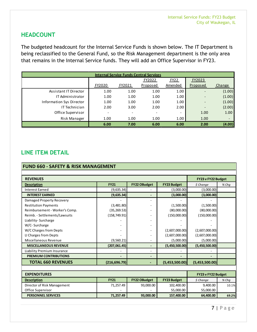# <span id="page-6-0"></span>**HEADCOUNT**

The budgeted headcount for the Internal Service Funds is shown below. The IT Department is being reclassified to the General Fund, so the Risk Management department is the only area that remains in the Internal Service funds. They will add an Office Supervisor in FY23.

| <b>Internal Service Funds Central Services</b> |                          |        |          |                          |                          |        |  |  |  |
|------------------------------------------------|--------------------------|--------|----------|--------------------------|--------------------------|--------|--|--|--|
|                                                |                          |        | FY2022   | FY22                     | FY2023                   |        |  |  |  |
|                                                | FY2020                   | FY2021 | Proposed | Amended                  | Proposed                 | Change |  |  |  |
| Assistant IT Director                          | 1.00                     | 1.00   | 1.00     | 1.00                     |                          | (1.00) |  |  |  |
| IT Administrator                               | 1.00                     | 1.00   | 1.00     | 1.00                     | $\overline{\phantom{0}}$ | (1.00) |  |  |  |
| <b>Information Sys Director</b>                | 1.00                     | 1.00   | 1.00     | 1.00                     | $\overline{\phantom{0}}$ | (1.00) |  |  |  |
| IT Technician                                  | 2.00                     | 3.00   | 2.00     | 2.00                     | $\overline{\phantom{0}}$ | (2.00) |  |  |  |
| Office Supervisor                              | $\overline{\phantom{a}}$ |        |          | $\overline{\phantom{a}}$ | 1.00                     | 1.00   |  |  |  |
| Risk Manager                                   | 1.00                     | 1.00   | 1.00     | 1.00                     | 1.00                     |        |  |  |  |
|                                                | 6.00                     | 7.00   | 6.00     | 6.00                     | 2.00                     | (4.00) |  |  |  |

# <span id="page-6-1"></span>**LINE ITEM DETAIL**

#### **FUND 660 - SAFETY & RISK MANAGEMENT**

| <b>REVENUES</b>                | FY23 v FY22 Budget |                              |                    |                |         |
|--------------------------------|--------------------|------------------------------|--------------------|----------------|---------|
| <b>Description</b>             | <b>FY21</b>        | <b>FY22 OBudget</b>          | <b>FY23 Budget</b> | \$ Change      | $%$ Chq |
| <b>Interest Earned</b>         | (9,635.34)         |                              | (3,000.00)         | (3,000.00)     |         |
| <b>INTEREST EARNED</b>         | (9,635.34)         |                              | (3,000.00)         | (3,000.00)     |         |
| Damaged Property Recovery      |                    |                              |                    |                |         |
| <b>Restitution Payments</b>    | (3,481.80)         |                              | (1,500.00)         | (1,500.00)     |         |
| Reimbursement - Worker's Comp. | (35, 269.53)       |                              | (80,000.00)        | (80,000.00)    |         |
| Reimb. - Settlements/Lawsuits  | (158, 749.91)      |                              | (150,000.00)       | (150,000.00)   |         |
| Liability-Surcharge            |                    |                              |                    |                |         |
| W/C-Surcharge                  |                    | $\overline{\phantom{0}}$     |                    |                |         |
| W/C Charges from Depts         |                    |                              | (2,607,000.00)     | (2,607,000.00) |         |
| LI Charges from Depts          |                    |                              | (2,607,000.00)     | (2,607,000.00) |         |
| Miscellaneous Revenue          | (9,560.21)         |                              | (5,000.00)         | (5,000.00)     |         |
| <b>MISCELLANEOUS REVENUE</b>   | (207,061.45)       | $\qquad \qquad \blacksquare$ | (5,450,500.00)     | (5,450,500.00) |         |
| Liability Premium Insurance    |                    | ٠                            |                    |                |         |
| <b>PREMIUM CONTRIBUTIONS</b>   |                    | -                            |                    |                |         |
| <b>TOTAL 660 REVENUES</b>      | (216, 696.79)      |                              | (5,453,500.00)     | (5,453,500.00) |         |

| <b>EXPENDITURES</b>         | <b>FY23 v FY22 Budget</b> |                     |                    |            |       |
|-----------------------------|---------------------------|---------------------|--------------------|------------|-------|
| <b>Description</b>          | <b>FY21</b>               | <b>FY22 OBudget</b> | <b>FY23 Budget</b> | $$$ Change | % Chq |
| Director of Risk Management | 71,257.49                 | 93,000.00           | 102,400.00         | 9,400.00   | 10.1% |
| Office Supervisor           | $\overline{\phantom{0}}$  |                     | 55,000.00          | 55,000.00  |       |
| <b>PERSONNEL SERVICES</b>   | 71.257.49                 | 93,000.00           | 157,400.00         | 64,400.00  | 69.2% |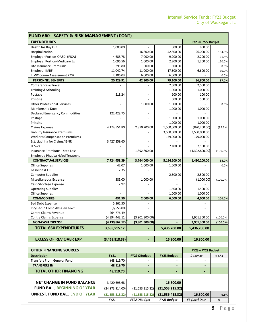| <b>FUND 660 - SAFETY &amp; RISK MANAGEMENT (CONT)</b> |                   |                          |                          |                    |              |  |
|-------------------------------------------------------|-------------------|--------------------------|--------------------------|--------------------|--------------|--|
| <b>EXPENDITURES</b>                                   |                   |                          |                          | FY23 v FY22 Budget |              |  |
| Health Ins Buy Out                                    | 1,000.00          |                          | 800.00                   | 800.00             |              |  |
| Hospitalization                                       |                   | 16,800.00                | 42,800.00                | 26,000.00          | 154.8%       |  |
| Employer Portion-OASDI (FICA)                         | 4,688.78          | 7,000.00                 | 9,200.00                 | 2,200.00           | 31.4%        |  |
| <b>Employer Portion-Medicare Ex</b>                   | 1,096.56          | 1,000.00                 | 2,200.00                 | 1,200.00           | 120.0%       |  |
| Life Insurance Premiums                               | 295.80            | 500.00                   | 500.00                   |                    | 0.0%         |  |
| <b>Employer IMRF</b>                                  | 11,042.74         | 11,000.00                | 17,600.00                | 6,600.00           | 60.0%        |  |
| IL WC Comm Assessment 2702                            | 2,106.03          | 6,000.00                 | 6,000.00                 |                    | 0.0%         |  |
| <b>PERSONNEL BENEFITS</b>                             | 20,229.91         | 42,300.00                | 79,100.00                | 36,800.00          | 87.0%        |  |
| Conference & Travel                                   |                   |                          | 2,500.00                 | 2,500.00           |              |  |
| Training & Schooling                                  |                   |                          | 1,000.00                 | 1,000.00           |              |  |
| Postage                                               | 218.24            |                          | 100.00                   | 100.00             |              |  |
| Printing                                              |                   |                          | 500.00                   | 500.00             |              |  |
| <b>Other Professional Services</b>                    |                   | 1,000.00                 | 1,000.00                 |                    | 0.0%         |  |
| Membership Dues                                       |                   |                          | 1,000.00                 | 1,000.00           |              |  |
| <b>Declared Emergency Commodities</b>                 | 122,428.75        |                          |                          |                    |              |  |
| Postage                                               |                   |                          | 1,000.00                 | 1,000.00           |              |  |
| Printing                                              |                   |                          | 1,000.00                 | 1,000.00           |              |  |
| Claims Expense                                        | 4,174,551.80      | 2,370,200.00             | 1,500,000.00             | (870, 200.00)      | (36.7%)      |  |
| <b>Liability Insurance Premiums</b>                   |                   |                          | 3,500,000.00             | 3,500,000.00       |              |  |
| <b>Worker's Compensation Premiums</b>                 |                   |                          | 179,000.00               | 179,000.00         |              |  |
| Est. Liability for Claims/IBNR                        | 3,427,259.60      |                          |                          |                    |              |  |
| <b>IT Svcs</b>                                        |                   |                          | 7,100.00                 | 7,100.00           |              |  |
| <b>Insurance Premiums - Stop Loss</b>                 |                   | 1,392,800.00             |                          | (1,392,800.00)     | $(100.0\%)$  |  |
| Employee Physical/Med Treatmnt                        |                   |                          |                          |                    |              |  |
| <b>CONTRACTUAL SERVICES</b>                           | 7,724,458.39      | 3,764,000.00             | 5,194,200.00             | 1,430,200.00       | 38.0%        |  |
| Office Supplies                                       | 42.07             | 1,000.00                 | 1,000.00                 |                    | 0.0%         |  |
| Gasoline & Oil                                        | 7.35              |                          |                          |                    |              |  |
| <b>Computer Supplies</b>                              |                   |                          | 2,500.00                 | 2,500.00           |              |  |
| Miscellaneous Expense                                 | 385.00            | 1,000.00                 |                          | (1,000.00)         | $(100.0\%)$  |  |
| Cash Shortage Expense                                 | (2.92)            |                          |                          |                    |              |  |
| <b>Operating Supplies</b>                             |                   |                          | 1,500.00                 | 1,500.00           |              |  |
| Office Supplies                                       |                   |                          | 1,000.00                 | 1,000.00           |              |  |
| <b>COMMODITIES</b>                                    | 431.50            | 2,000.00                 | 6,000.00                 | 4,000.00           | 200.0%       |  |
| <b>Bad Debt Expense</b>                               | 5,362.50          |                          |                          |                    |              |  |
| Inc/Dec in Comp Abs Gen Govt                          | (6,558.00)        |                          |                          |                    |              |  |
| Contra Claims Revenue                                 | 264,776.49        |                          |                          |                    |              |  |
| Contra Claims Expense                                 | (4,394,443.11)    | (3,901,300.00)           |                          | 3,901,300.00       | $(100.0\%)$  |  |
| <b>NON-CASH EXPENSE</b>                               | (4, 130, 862.12)  | (3,901,300.00)           |                          | 3,901,300.00       | $(100.0\%)$  |  |
| <b>TOTAL 660 EXPENDITURES</b>                         | 3,685,515.17      |                          | 5,436,700.00             | 5,436,700.00       |              |  |
|                                                       |                   |                          |                          |                    |              |  |
| <b>EXCESS OF REV OVER EXP</b>                         | (3,468,818.38)    |                          | 16,800.00                | 16,800.00          |              |  |
|                                                       |                   |                          |                          |                    |              |  |
| OTHER FINANCING SOURCES                               |                   |                          |                          | FY23 v FY22 Budget |              |  |
| <b>Description</b>                                    | <b>FY21</b>       | <b>FY22 OBudget</b>      | <b>FY23 Budget</b>       | \$ Change          | % Chq        |  |
| <b>Transfers From General Fund</b>                    | (48, 119.70)      |                          |                          |                    |              |  |
| <b>TRANSFERS IN</b>                                   | 48,119.70         |                          | $\overline{\phantom{a}}$ |                    |              |  |
| <b>TOTAL OTHER FINANCING</b>                          | 48,119.70         | ٠                        |                          | ٠                  |              |  |
|                                                       |                   |                          |                          |                    |              |  |
| <b>NET CHANGE IN FUND BALANCE</b>                     | 3,420,698.68      | $\overline{\phantom{a}}$ | 16,800.00                |                    |              |  |
| <b>FUND BAL., BEGINNING OF YEAR</b>                   | (24, 973, 914.00) | (21, 553, 215.32)        | (21,553,215.32)          |                    |              |  |
| <b>UNREST. FUND BAL., END OF YEAR</b>                 | (21, 553, 215.32) | (21, 553, 215.32)        | (21, 536, 415.32)        | 16,800.00          |              |  |
|                                                       | FY21              | FY22 OBudget             | FY23 Budget              | FB (Incr) Decr     | 0.1%<br>$\%$ |  |
|                                                       |                   |                          |                          |                    |              |  |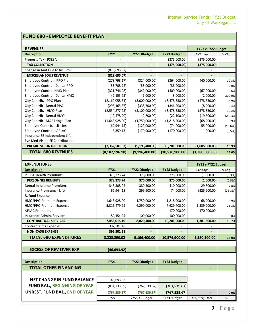### **FUND 680 - EMPLOYEE BENEFIT PLAN**

| <b>REVENUES</b>                |                  |                     |                    | FY23 v FY22 Budget |         |
|--------------------------------|------------------|---------------------|--------------------|--------------------|---------|
| <b>Description</b>             | <b>FY21</b>      | <b>FY22 OBudget</b> | <b>FY23 Budget</b> | \$ Change          | % Chq   |
| Property Tax - PSEBA           |                  |                     | (375,000.00)       | (375,000.00)       |         |
| <b>TAX COLLECTION</b>          |                  |                     | (375,000.00)       | (375,000.00)       |         |
| Change in Amt Due to Ins Provi | (819, 695.07)    |                     |                    |                    |         |
| <b>MISCELLANEOUS REVENUE</b>   | (819, 695.07)    |                     |                    |                    |         |
| Employee Contrib. - PPO Plan   | (278, 798.17)    | (324,000.00)        | (364,000.00)       | (40,000.00)        | 12.3%   |
| Employee Contrib - Dental PPO  | (33,708.72)      | (38,000.00)         | (38,000.00)        |                    | 0.0%    |
| Employee Contrib. HMO Plan     | (321, 746.28)    | (342,000.00)        | (409,000.00)       | (67,000.00)        | 19.6%   |
| Employee Contrib - Dental HMO  | (2, 155.73)      | (1,000.00)          | (3,000.00)         | (2,000.00)         | 200.0%  |
| City Contrib. - PPO Plan       | (2, 160, 058.31) | (3,000,000.00)      | (3,478,350.00)     | (478, 350.00)      | 15.9%   |
| City Contrib - Dental PPO      | (293, 165.37)    | (338,700.00)        | (346,900.00)       | (8, 200.00)        | 2.4%    |
| City Contrib. - HMO Plan       | (2,554,877.23)   | (3, 100, 000.00)    | (3,478,350.00)     | (378, 350.00)      | 12.2%   |
| City Contrib - Dental HMO      | (19, 478.20)     | (2,800.00)          | (22, 100.00)       | (19,300.00)        | 689.3%  |
| City Contrib - MOE Fringe Plan | (1,648,928.00)   | (1,750,000.00)      | (1,818,200.00)     | (68, 200.00)       | 3.9%    |
| Employer Contrib. - Life Ins.  | (62, 944.15)     | (129,000.00)        | (74,000.00)        | 55,000.00          | (42.6%) |
| Employee Contrib. - AFLAC      | 13,359.13        | (170,900.00)        | (170,000.00)       | 900.00             | (0.5%)  |
| Insurance EE Independent Life  |                  |                     |                    |                    |         |
| Eye Med Vision EE Contribution |                  |                     |                    |                    |         |
| <b>PREMIUM CONTRIBUTIONS</b>   | (7, 362, 501.03) | (9, 196, 400.00)    | (10, 201, 900.00)  | (1,005,500.00)     | 10.9%   |
| <b>TOTAL 680 REVENUES</b>      | (8, 182, 196.10) | (9, 196, 400.00)    | (10,576,900.00)    | (1,380,500.00)     | 15.0%   |

| <b>EXPENDITURES</b>           |              |                     | FY23 v FY22 Budget |              |         |
|-------------------------------|--------------|---------------------|--------------------|--------------|---------|
| <b>Description</b>            | <b>FY21</b>  | <b>FY22 OBudget</b> | <b>FY23 Budget</b> | \$ Change    | % Chq   |
| <b>PSEBA-Health Premiums</b>  | 378, 373. 74 | 376,000.00          | 375,000.00         | (1,000.00)   | (0.3%)  |
| <b>PERSONNEL BENEFITS</b>     | 378,373.74   | 376,000.00          | 375,000.00         | (1,000.00)   | (0.3%)  |
| Dental Insurance Premiums     | 348,508.02   | 380,500.00          | 410,000.00         | 29,500.00    | 7.8%    |
| Insurance Premiums - Life     | 62,944.15    | 299,900.00          | 74,000.00          | (225,900.00) | (75.3%) |
| Refund Expense                |              |                     |                    |              |         |
| HMO/PPO Premium Expense       | 1,648,928.00 | 1,750,000.00        | 1,818,200.00       | 68,200.00    | 3.9%    |
| HMO/PPO Premium Expense       | 5,315,479.99 | 6,290,000.00        | 7,629,700.00       | 1,339,700.00 | 21.3%   |
| <b>AFLAC Premiums</b>         |              |                     | 170,000.00         | 170,000.00   |         |
| Insurance Admin. Services     | 82,154.94    | 100,000.00          | 100,000.00         |              | 0.0%    |
| <b>CONTRACTUAL SERVICES</b>   | 7,458,015.10 | 8,820,400.00        | 10,201,900.00      | 1,381,500.00 | 15.7%   |
| Contra Claims Expense         | 392,501.18   |                     |                    |              |         |
| <b>NON-CASH EXPENSE</b>       | 392,501.18   |                     |                    |              |         |
| <b>TOTAL 680 EXPENDITURES</b> | 8,228,890.02 | 9,196,400.00        | 10,576,900.00      | 1,380,500.00 | 15.0%   |
|                               |              |                     |                    |              |         |

**EXCESS OF REV OVER EXP (46,693.92) - - -**

| <b>Description</b>                  | <b>FY21</b>    | <b>FY22 OBudget</b> | <b>FY23 Budget</b>       |                |      |
|-------------------------------------|----------------|---------------------|--------------------------|----------------|------|
| <b>TOTAL OTHER FINANCING</b>        | $\blacksquare$ |                     | $\overline{\phantom{0}}$ |                |      |
|                                     |                |                     |                          |                |      |
| <b>NET CHANGE IN FUND BALANCE</b>   | 46,693.92      |                     |                          |                |      |
| <b>FUND BAL., BEGINNING OF YEAR</b> | (814, 233.59)  | (767, 539.67)       | (767, 539.67)            |                |      |
| UNREST. FUND BAL., END OF YEAR      | (767, 539.67)  | (767, 539.67)       | (767, 539.67)            |                | 0.0% |
|                                     | FY21           | FY22 OBudget        | <b>FY23 Budget</b>       | FB (Incr) Decr | %    |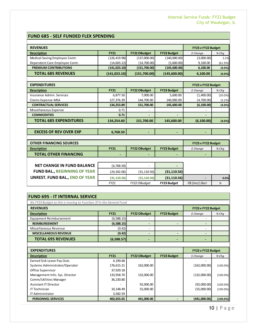#### **FUND 685 - SELF FUNDED FLEX SPENDING**

| <b>REVENUES</b>                |               |                     |                    | FY23 v FY22 Budget |         |
|--------------------------------|---------------|---------------------|--------------------|--------------------|---------|
| <b>Description</b>             | <b>FY21</b>   | <b>FY22 OBudget</b> | <b>FY23 Budget</b> | \$ Change          | $%$ Chq |
| Medical Saving Employee Contr. | (126,419.98)  | (137,000.00)        | (140,000.00)       | (3,000.00)         | 2.2%    |
| Dependent Care Employee Contr. | (14, 603.12)  | (14,700.00)         | (5,600.00)         | 9,100.00           | (61.9%) |
| <b>PREMIUM CONTRIBUTIONS</b>   | (141, 023.10) | (151,700.00)        | (145,600.00)       | 6,100.00           | (4.0%)  |
| <b>TOTAL 685 REVENUES</b>      | (141, 023.10) | (151,700.00)        | (145,600.00)       | 6,100.00           | (4.0%)  |
|                                |               |                     |                    |                    |         |

| <b>EXPENDITURES</b>           |             |                          | FY23 v FY22 Budget       |                          |            |
|-------------------------------|-------------|--------------------------|--------------------------|--------------------------|------------|
| <b>Description</b>            | <b>FY21</b> | <b>FY22 OBudget</b>      | <b>FY23 Budget</b>       | \$ Change                | $%$ Chq    |
| Insurance Admin, Services     | 6,877.50    | 7,000.00                 | 5,600.00                 | (1,400.00)               | $(20.0\%)$ |
| Claims Expense-MSA            | 127,376.39  | 144,700.00               | 140,000.00               | (4,700.00)               | (3.2%)     |
| <b>CONTRACTUAL SERVICES</b>   | 134,253.89  | 151,700.00               | 145,600.00               | (6, 100.00)              | (4.0%)     |
| Miscellaneous Expense         | 0.71        |                          |                          |                          |            |
| <b>COMMODITIES</b>            | 0.71        | $\overline{\phantom{0}}$ | $\overline{\phantom{0}}$ | $\overline{\phantom{0}}$ |            |
| <b>TOTAL 685 EXPENDITURES</b> | 134,254.60  | 151,700.00               | 145,600.00               | (6,100.00)               | (4.0%)     |
|                               |             |                          |                          |                          |            |
| <b>EXCESS OF REV OVER EXP</b> | 6,768.50    | $\overline{\phantom{0}}$ | -                        | -                        |            |

| <b>OTHER FINANCING SOURCES</b>        |              |                          |                    | FY23 v FY22 Budget |         |
|---------------------------------------|--------------|--------------------------|--------------------|--------------------|---------|
| <b>Description</b>                    | <b>FY21</b>  | <b>FY22 OBudget</b>      | <b>FY23 Budget</b> | \$ Change          | $%$ Chq |
| <b>TOTAL OTHER FINANCING</b>          | -            | $\overline{\phantom{a}}$ | -                  |                    |         |
|                                       |              |                          |                    |                    |         |
| <b>NET CHANGE IN FUND BALANCE</b>     | (6,768.50)   |                          |                    |                    |         |
| <b>FUND BAL., BEGINNING OF YEAR</b>   | (24, 342.06) | (31, 110.56)             | (31, 110.56)       |                    |         |
| <b>UNREST. FUND BAL., END OF YEAR</b> | (31, 110.56) | (31, 110.56)             | (31, 110.56)       |                    | 0.0%    |
|                                       | FY21         | FY22 OBudget             | <b>FY23 Budaet</b> | FB (Incr) Decr     | %       |

### **FUND 695 - IT INTERNAL SERVICE**

| No FY23 Budget as this is moving to Function 37 in the General Fund |             |                     |                    |           |         |
|---------------------------------------------------------------------|-------------|---------------------|--------------------|-----------|---------|
| <b>REVENUES</b>                                                     |             |                     | FY23 v FY22 Budget |           |         |
| <b>Description</b>                                                  | <b>FY21</b> | <b>FY22 OBudget</b> | <b>FY23 Budget</b> | \$ Change | $%$ Cha |
| Equipment Reimbursement                                             | (6,588.15)  |                     |                    |           |         |
| <b>REIMBURSEMENT</b>                                                | (6,588.15)  |                     |                    |           |         |
| Miscellaneous Revenue                                               | (0.42)      |                     |                    |           |         |
| <b>MISCELLANEOUS REVENUE</b>                                        | (0.42)      |                     |                    |           |         |
| <b>TOTAL 695 REVENUES</b>                                           | (6,588.57)  |                     |                    |           |         |

| <b>EXPENDITURES</b>            | FY23 v FY22 Budget |                     |                    |              |             |
|--------------------------------|--------------------|---------------------|--------------------|--------------|-------------|
| <b>Description</b>             | <b>FY21</b>        | <b>FY22 OBudget</b> | <b>FY23 Budget</b> | \$ Change    | $%$ Chq     |
| Earned Sick Leave Pay Outs     | 4,190.68           |                     |                    |              |             |
| Systems Administrator/Operator | 176,615.21         | 162,000.00          |                    | (162,000.00) | $(100.0\%)$ |
| Office Supervisor              | 37,929.18          |                     |                    |              |             |
| Management Info. Sys. Director | 133,958.70         | 132,000.00          |                    | (132,000.00) | $(100.0\%)$ |
| Comm/Utilities Manager         | 36,230.80          |                     |                    |              |             |
| <b>Assistant IT Director</b>   |                    | 92,000.00           |                    | (92,000.00)  | $(100.0\%)$ |
| IT Technician                  | 10,148.49          | 55,000.00           |                    | (55,000.00)  | $(100.0\%)$ |
| IT Administrator               | 3,582.59           |                     |                    |              |             |
| <b>PERSONNEL SERVICES</b>      | 402,655.65         | 441.000.00          |                    | (441,000.00) | (100.0%)    |

10 | Page